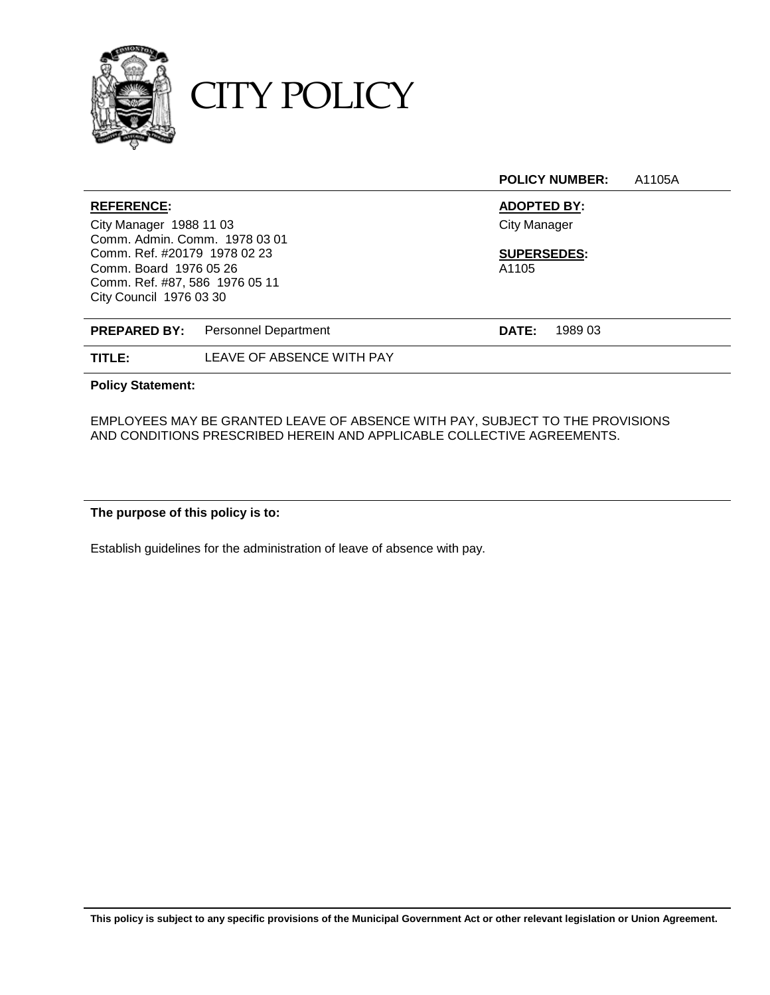

CITY POLICY

**POLICY NUMBER:** A1105A

| <b>REFERENCE:</b>              |                                          | <b>ADOPTED BY:</b>      |  |
|--------------------------------|------------------------------------------|-------------------------|--|
| City Manager 1988 11 03        |                                          | <b>City Manager</b>     |  |
| Comm. Admin. Comm. 1978 03 01  |                                          |                         |  |
| Comm. Ref. #20179 1978 02 23   |                                          | <b>SUPERSEDES:</b>      |  |
| Comm. Board 1976 05 26         |                                          | A1105                   |  |
| Comm. Ref. #87, 586 1976 05 11 |                                          |                         |  |
| City Council 1976 03 30        |                                          |                         |  |
|                                |                                          |                         |  |
|                                | <b>PREPARED BY:</b> Personnel Department | 1989 03<br><b>DATE:</b> |  |
| TITLE:                         | LEAVE OF ABSENCE WITH PAY                |                         |  |

**Policy Statement:**

EMPLOYEES MAY BE GRANTED LEAVE OF ABSENCE WITH PAY, SUBJECT TO THE PROVISIONS AND CONDITIONS PRESCRIBED HEREIN AND APPLICABLE COLLECTIVE AGREEMENTS.

**The purpose of this policy is to:**

Establish guidelines for the administration of leave of absence with pay.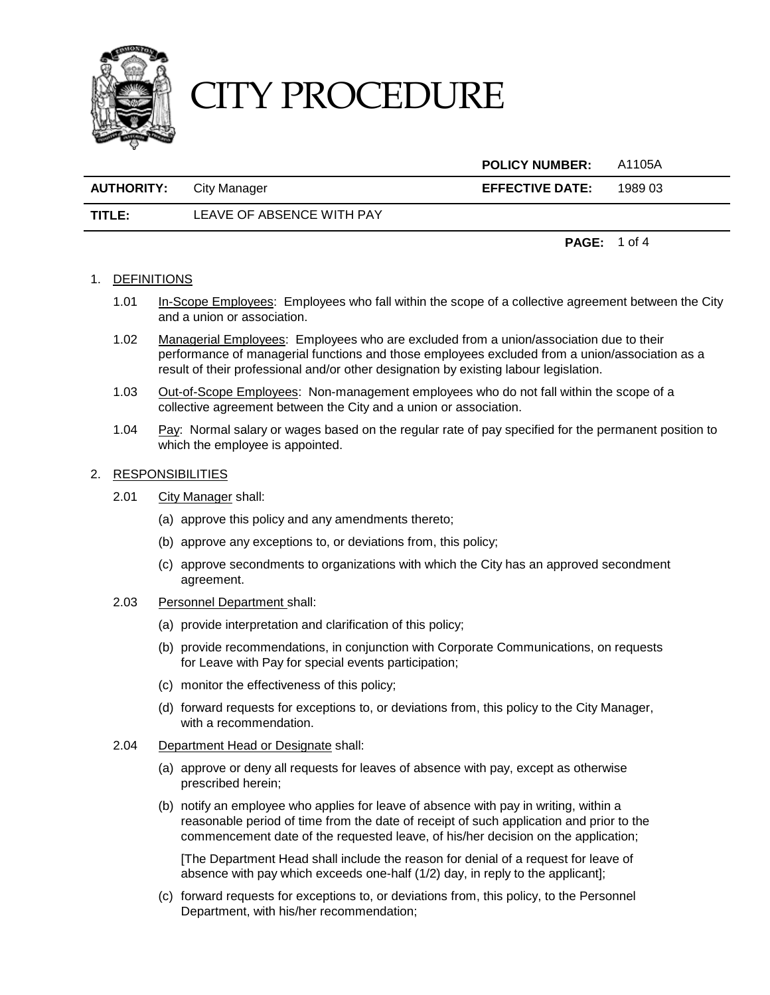

**POLICY NUMBER:** A1105A

| <b>AUTHORITY:</b> | City Manager | <b>EFFECTIVE DATE:</b> | 1989 03 |
|-------------------|--------------|------------------------|---------|
|                   |              |                        |         |

**TITLE:** LEAVE OF ABSENCE WITH PAY

**PAGE:** 1 of 4

### 1. DEFINITIONS

- 1.01 In-Scope Employees: Employees who fall within the scope of a collective agreement between the City and a union or association.
- 1.02 Managerial Employees: Employees who are excluded from a union/association due to their performance of managerial functions and those employees excluded from a union/association as a result of their professional and/or other designation by existing labour legislation.
- 1.03 Out-of-Scope Employees: Non-management employees who do not fall within the scope of a collective agreement between the City and a union or association.
- 1.04 Pay: Normal salary or wages based on the regular rate of pay specified for the permanent position to which the employee is appointed.

#### 2. RESPONSIBILITIES

- 2.01 City Manager shall:
	- (a) approve this policy and any amendments thereto;
	- (b) approve any exceptions to, or deviations from, this policy;
	- (c) approve secondments to organizations with which the City has an approved secondment agreement.
- 2.03 Personnel Department shall:
	- (a) provide interpretation and clarification of this policy;
	- (b) provide recommendations, in conjunction with Corporate Communications, on requests for Leave with Pay for special events participation;
	- (c) monitor the effectiveness of this policy;
	- (d) forward requests for exceptions to, or deviations from, this policy to the City Manager, with a recommendation.
- 2.04 Department Head or Designate shall:
	- (a) approve or deny all requests for leaves of absence with pay, except as otherwise prescribed herein;
	- (b) notify an employee who applies for leave of absence with pay in writing, within a reasonable period of time from the date of receipt of such application and prior to the commencement date of the requested leave, of his/her decision on the application;

[The Department Head shall include the reason for denial of a request for leave of absence with pay which exceeds one-half (1/2) day, in reply to the applicant];

(c) forward requests for exceptions to, or deviations from, this policy, to the Personnel Department, with his/her recommendation;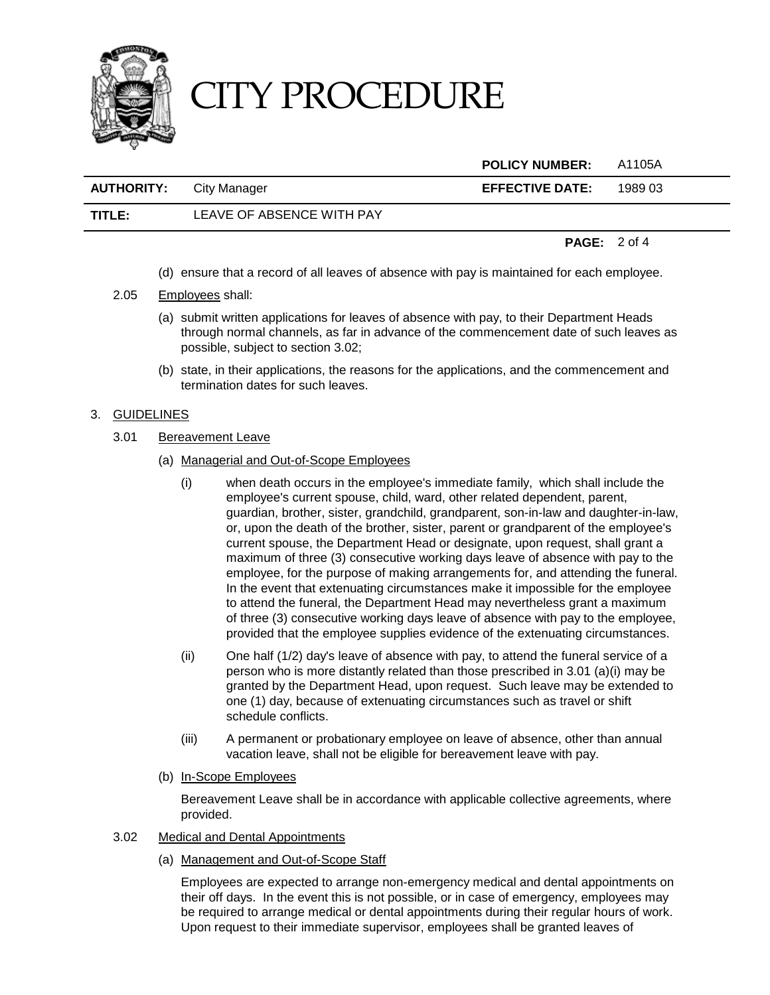

**POLICY NUMBER:** A1105A **AUTHORITY:** City Manager **EFFECTIVE DATE:** 1989 03 **TITLE:** LEAVE OF ABSENCE WITH PAY

**PAGE:** 2 of 4

- (d) ensure that a record of all leaves of absence with pay is maintained for each employee.
- 2.05 Employees shall:
	- (a) submit written applications for leaves of absence with pay, to their Department Heads through normal channels, as far in advance of the commencement date of such leaves as possible, subject to section 3.02;
	- (b) state, in their applications, the reasons for the applications, and the commencement and termination dates for such leaves.

### 3. GUIDELINES

- 3.01 Bereavement Leave
	- (a) Managerial and Out-of-Scope Employees
		- (i) when death occurs in the employee's immediate family, which shall include the employee's current spouse, child, ward, other related dependent, parent, guardian, brother, sister, grandchild, grandparent, son-in-law and daughter-in-law, or, upon the death of the brother, sister, parent or grandparent of the employee's current spouse, the Department Head or designate, upon request, shall grant a maximum of three (3) consecutive working days leave of absence with pay to the employee, for the purpose of making arrangements for, and attending the funeral. In the event that extenuating circumstances make it impossible for the employee to attend the funeral, the Department Head may nevertheless grant a maximum of three (3) consecutive working days leave of absence with pay to the employee, provided that the employee supplies evidence of the extenuating circumstances.
		- (ii) One half (1/2) day's leave of absence with pay, to attend the funeral service of a person who is more distantly related than those prescribed in 3.01 (a)(i) may be granted by the Department Head, upon request. Such leave may be extended to one (1) day, because of extenuating circumstances such as travel or shift schedule conflicts.
		- (iii) A permanent or probationary employee on leave of absence, other than annual vacation leave, shall not be eligible for bereavement leave with pay.
	- (b) In-Scope Employees

Bereavement Leave shall be in accordance with applicable collective agreements, where provided.

- 3.02 Medical and Dental Appointments
	- (a) Management and Out-of-Scope Staff

Employees are expected to arrange non-emergency medical and dental appointments on their off days. In the event this is not possible, or in case of emergency, employees may be required to arrange medical or dental appointments during their regular hours of work. Upon request to their immediate supervisor, employees shall be granted leaves of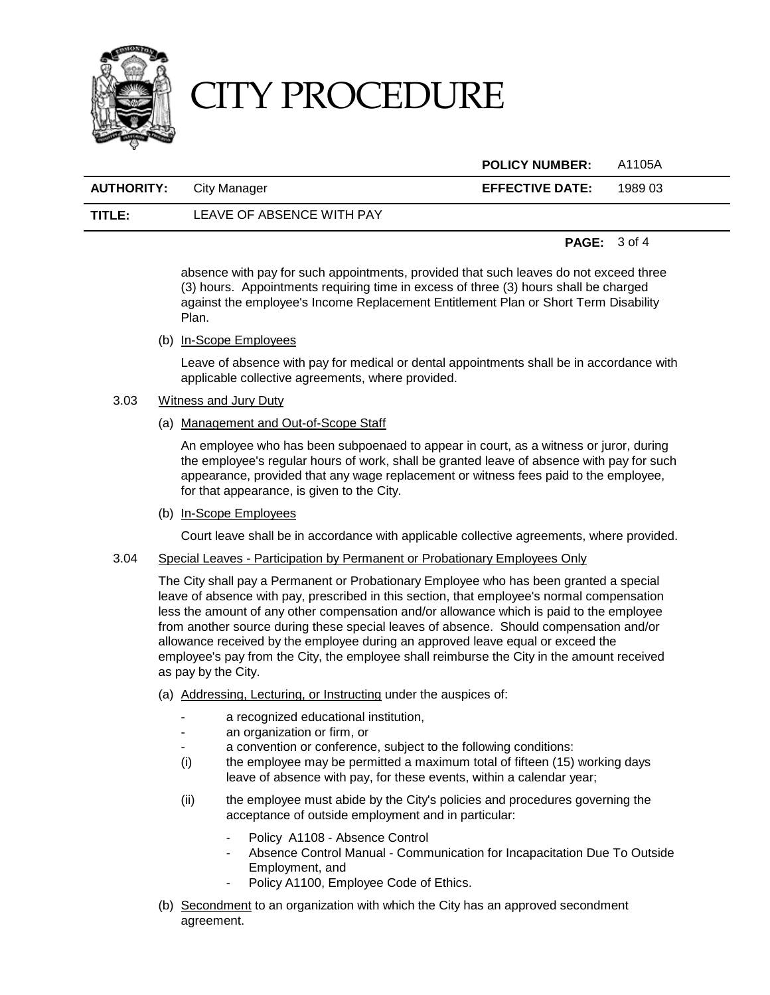

|                                |                           | <b>POLICY NUMBER:</b>  | - A1105A |
|--------------------------------|---------------------------|------------------------|----------|
| <b>AUTHORITY:</b> City Manager |                           | <b>EFFECTIVE DATE:</b> | 1989 03  |
| TITLE:                         | LEAVE OF ABSENCE WITH PAY |                        |          |

#### **PAGE:** 3 of 4

absence with pay for such appointments, provided that such leaves do not exceed three (3) hours. Appointments requiring time in excess of three (3) hours shall be charged against the employee's Income Replacement Entitlement Plan or Short Term Disability Plan.

(b) In-Scope Employees

Leave of absence with pay for medical or dental appointments shall be in accordance with applicable collective agreements, where provided.

### 3.03 Witness and Jury Duty

(a) Management and Out-of-Scope Staff

An employee who has been subpoenaed to appear in court, as a witness or juror, during the employee's regular hours of work, shall be granted leave of absence with pay for such appearance, provided that any wage replacement or witness fees paid to the employee, for that appearance, is given to the City.

(b) In-Scope Employees

Court leave shall be in accordance with applicable collective agreements, where provided.

3.04 Special Leaves - Participation by Permanent or Probationary Employees Only

The City shall pay a Permanent or Probationary Employee who has been granted a special leave of absence with pay, prescribed in this section, that employee's normal compensation less the amount of any other compensation and/or allowance which is paid to the employee from another source during these special leaves of absence. Should compensation and/or allowance received by the employee during an approved leave equal or exceed the employee's pay from the City, the employee shall reimburse the City in the amount received as pay by the City.

- (a) Addressing, Lecturing, or Instructing under the auspices of:
	- a recognized educational institution,
	- an organization or firm, or
	- a convention or conference, subject to the following conditions:
	- (i) the employee may be permitted a maximum total of fifteen (15) working days leave of absence with pay, for these events, within a calendar year;
	- (ii) the employee must abide by the City's policies and procedures governing the acceptance of outside employment and in particular:
		- Policy A1108 Absence Control
		- Absence Control Manual Communication for Incapacitation Due To Outside Employment, and
		- Policy A1100, Employee Code of Ethics.
- (b) Secondment to an organization with which the City has an approved secondment agreement.